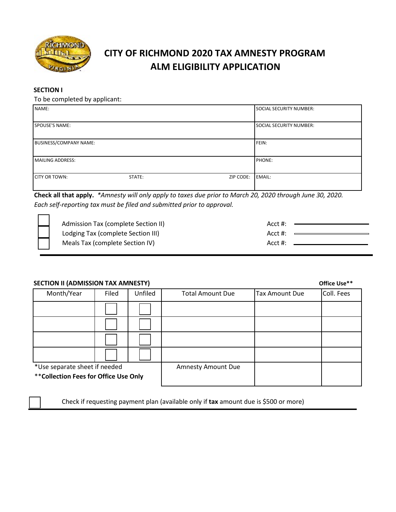

# **CITY OF RICHMOND 2020 TAX AMNESTY PROGRAM ALM ELIGIBILITY APPLICATION**

#### **SECTION I**

To be completed by applicant:

| NAME:                   |        |           | SOCIAL SECURITY NUMBER:        |
|-------------------------|--------|-----------|--------------------------------|
| SPOUSE'S NAME:          |        |           | <b>SOCIAL SECURITY NUMBER:</b> |
| BUSINESS/COMPANY NAME:  |        | FEIN:     |                                |
| <b>MAILING ADDRESS:</b> |        |           | PHONE:                         |
| CITY OR TOWN:           | STATE: | ZIP CODE: | EMAIL:                         |

**Check all that apply.** *\*Amnesty will only apply to taxes due prior to March 20, 2020 through June 30, 2020. Each self-reporting tax must be filed and submitted prior to approval.*

| Admission Tax (complete Section II) | Acct #: |  |
|-------------------------------------|---------|--|
| Lodging Tax (complete Section III)  | Acct #: |  |
| Meals Tax (complete Section IV)     | Acct #: |  |

#### **SECTION II (ADMISSION TAX AMNESTY) Office Use\*\***

|                                        |       |         |                           |                       | <u> </u>   |
|----------------------------------------|-------|---------|---------------------------|-----------------------|------------|
| Month/Year                             | Filed | Unfiled | <b>Total Amount Due</b>   | <b>Tax Amount Due</b> | Coll. Fees |
|                                        |       |         |                           |                       |            |
|                                        |       |         |                           |                       |            |
|                                        |       |         |                           |                       |            |
|                                        |       |         |                           |                       |            |
| *Use separate sheet if needed          |       |         | <b>Amnesty Amount Due</b> |                       |            |
| ** Collection Fees for Office Use Only |       |         |                           |                       |            |

Check if requesting payment plan (available only if **tax** amount due is \$500 or more)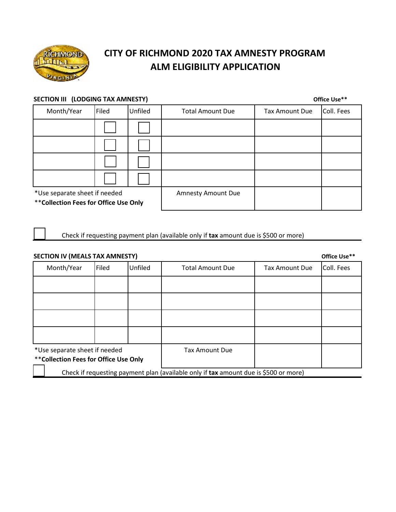

# **CITY OF RICHMOND 2020 TAX AMNESTY PROGRAM ALM ELIGIBILITY APPLICATION**

#### **SECTION III** (LODGING TAX AMNESTY) **Office Use**\*\*

Month/Year Filed Unfiled Total Amount Due Tax Amount Due Coll. Fees \*Use separate sheet if needed Amnesty Amount Due

\*\***Collection Fees for Office Use Only**

Check if requesting payment plan (available only if **tax** amount due is \$500 or more)

| <b>SECTION IV (MEALS TAX AMNESTY)</b>                                                |       |         |                         |                       |            |
|--------------------------------------------------------------------------------------|-------|---------|-------------------------|-----------------------|------------|
| Month/Year                                                                           | Filed | Unfiled | <b>Total Amount Due</b> | <b>Tax Amount Due</b> | Coll. Fees |
|                                                                                      |       |         |                         |                       |            |
|                                                                                      |       |         |                         |                       |            |
|                                                                                      |       |         |                         |                       |            |
|                                                                                      |       |         |                         |                       |            |
| *Use separate sheet if needed                                                        |       |         | <b>Tax Amount Due</b>   |                       |            |
| ** Collection Fees for Office Use Only                                               |       |         |                         |                       |            |
| Check if requesting payment plan (available only if tax amount due is \$500 or more) |       |         |                         |                       |            |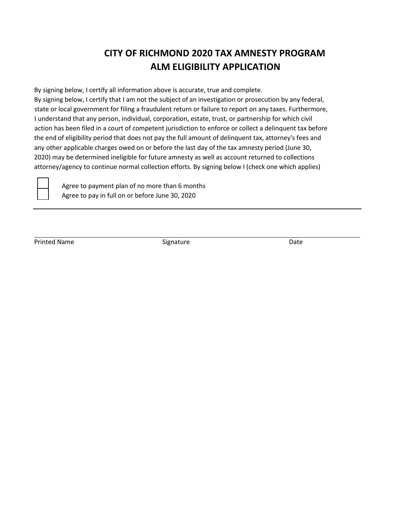### **CITY OF RICHMOND 2020 TAX AMNESTY PROGRAM ALM ELIGIBILITY APPLICATION**

By signing below, I certify all information above is accurate, true and complete. By signing below, I certify that I am not the subject of an investigation or prosecution by any federal, state or local government for filing a fraudulent return or failure to report on any taxes. Furthermore, I understand that any person, individual, corporation, estate, trust, or partnership for which civil action has been filed in a court of competent jurisdiction to enforce or collect a delinquent tax before the end of eligibility period that does not pay the full amount of delinquent tax, attorney's fees and any other applicable charges owed on or before the last day of the tax amnesty period (June 30, 2020) may be determined ineligible for future amnesty as well as account returned to collections attorney/agency to continue normal collection efforts. By signing below I (check one which applies)



Agree to payment plan of no more than 6 months Agree to pay in full on or before June 30, 2020

Printed Name **Signature** Signature **Contract Contract Contract Contract Contract Contract Contract Contract Contract Contract Contract Contract Contract Contract Contract Contract Contract Contract Contract Contract Contra**